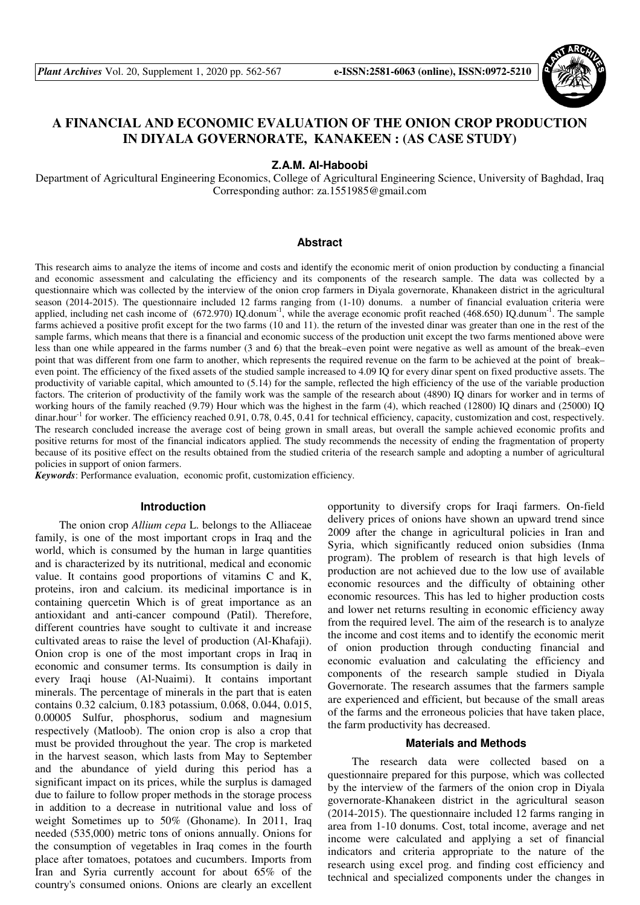

# **A FINANCIAL AND ECONOMIC EVALUATION OF THE ONION CROP PRODUCTION IN DIYALA GOVERNORATE, KANAKEEN : (AS CASE STUDY)**

### **Z.A.M. Al-Haboobi**

Department of Agricultural Engineering Economics, College of Agricultural Engineering Science, University of Baghdad, Iraq Corresponding author: za.1551985@gmail.com

## **Abstract**

This research aims to analyze the items of income and costs and identify the economic merit of onion production by conducting a financial and economic assessment and calculating the efficiency and its components of the research sample. The data was collected by a questionnaire which was collected by the interview of the onion crop farmers in Diyala governorate, Khanakeen district in the agricultural season (2014-2015). The questionnaire included 12 farms ranging from (1-10) donums. a number of financial evaluation criteria were applied, including net cash income of (672.970) IQ.donum<sup>-1</sup>, while the average economic profit reached (468.650) IQ.dunum<sup>-1</sup>. The sample farms achieved a positive profit except for the two farms (10 and 11). the return of the invested dinar was greater than one in the rest of the sample farms, which means that there is a financial and economic success of the production unit except the two farms mentioned above were less than one while appeared in the farms number (3 and 6) that the break–even point were negative as well as amount of the break–even point that was different from one farm to another, which represents the required revenue on the farm to be achieved at the point of break– even point. The efficiency of the fixed assets of the studied sample increased to 4.09 IQ for every dinar spent on fixed productive assets. The productivity of variable capital, which amounted to (5.14) for the sample, reflected the high efficiency of the use of the variable production factors. The criterion of productivity of the family work was the sample of the research about (4890) IQ dinars for worker and in terms of working hours of the family reached (9.79) Hour which was the highest in the farm (4), which reached (12800) IQ dinars and (25000) IQ dinar.hour<sup>-1</sup> for worker. The efficiency reached 0.91, 0.78, 0.45, 0.41 for technical efficiency, capacity, customization and cost, respectively. The research concluded increase the average cost of being grown in small areas, but overall the sample achieved economic profits and positive returns for most of the financial indicators applied. The study recommends the necessity of ending the fragmentation of property because of its positive effect on the results obtained from the studied criteria of the research sample and adopting a number of agricultural policies in support of onion farmers.

*Keywords*: Performance evaluation, economic profit, customization efficiency.

#### **Introduction**

The onion crop *Allium cepa* L. belongs to the Alliaceae family, is one of the most important crops in Iraq and the world, which is consumed by the human in large quantities and is characterized by its nutritional, medical and economic value. It contains good proportions of vitamins C and K, proteins, iron and calcium. its medicinal importance is in containing quercetin Which is of great importance as an antioxidant and anti-cancer compound (Patil). Therefore, different countries have sought to cultivate it and increase cultivated areas to raise the level of production (Al-Khafaji). Onion crop is one of the most important crops in Iraq in economic and consumer terms. Its consumption is daily in every Iraqi house (Al-Nuaimi). It contains important minerals. The percentage of minerals in the part that is eaten contains 0.32 calcium, 0.183 potassium, 0.068, 0.044, 0.015, 0.00005 Sulfur, phosphorus, sodium and magnesium respectively (Matloob). The onion crop is also a crop that must be provided throughout the year. The crop is marketed in the harvest season, which lasts from May to September and the abundance of yield during this period has a significant impact on its prices, while the surplus is damaged due to failure to follow proper methods in the storage process in addition to a decrease in nutritional value and loss of weight Sometimes up to 50% (Ghoname). In 2011, Iraq needed (535,000) metric tons of onions annually. Onions for the consumption of vegetables in Iraq comes in the fourth place after tomatoes, potatoes and cucumbers. Imports from Iran and Syria currently account for about 65% of the country's consumed onions. Onions are clearly an excellent

opportunity to diversify crops for Iraqi farmers. On-field delivery prices of onions have shown an upward trend since 2009 after the change in agricultural policies in Iran and Syria, which significantly reduced onion subsidies (Inma program). The problem of research is that high levels of production are not achieved due to the low use of available economic resources and the difficulty of obtaining other economic resources. This has led to higher production costs and lower net returns resulting in economic efficiency away from the required level. The aim of the research is to analyze the income and cost items and to identify the economic merit of onion production through conducting financial and economic evaluation and calculating the efficiency and components of the research sample studied in Diyala Governorate. The research assumes that the farmers sample are experienced and efficient, but because of the small areas of the farms and the erroneous policies that have taken place, the farm productivity has decreased.

## **Materials and Methods**

The research data were collected based on a questionnaire prepared for this purpose, which was collected by the interview of the farmers of the onion crop in Diyala governorate-Khanakeen district in the agricultural season (2014-2015). The questionnaire included 12 farms ranging in area from 1-10 donums. Cost, total income, average and net income were calculated and applying a set of financial indicators and criteria appropriate to the nature of the research using excel prog. and finding cost efficiency and technical and specialized components under the changes in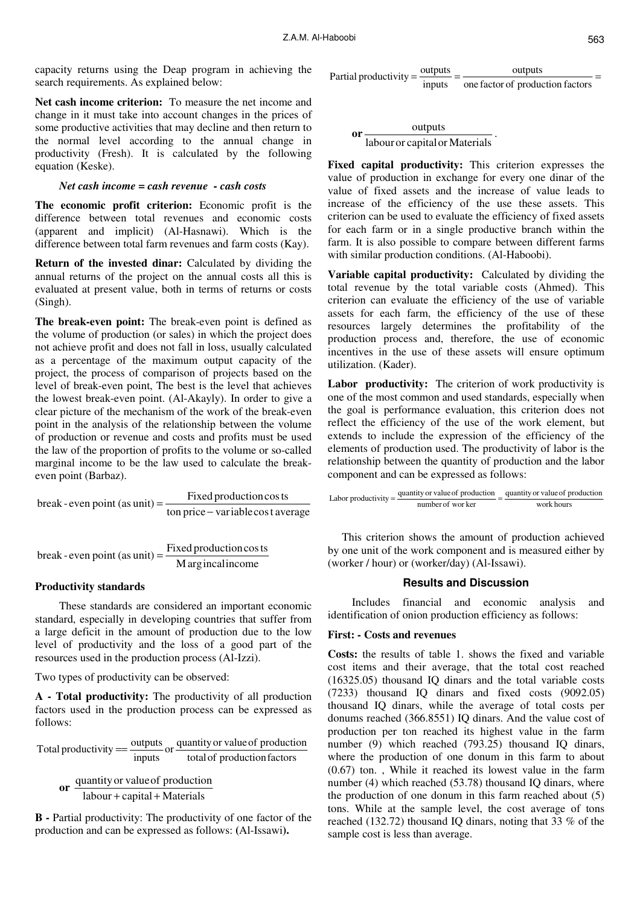capacity returns using the Deap program in achieving the search requirements. As explained below:

**Net cash income criterion:** To measure the net income and change in it must take into account changes in the prices of some productive activities that may decline and then return to the normal level according to the annual change in productivity (Fresh). It is calculated by the following equation (Keske).

#### *Net cash income = cash revenue - cash costs*

**The economic profit criterion:** Economic profit is the difference between total revenues and economic costs (apparent and implicit) (Al-Hasnawi). Which is the difference between total farm revenues and farm costs (Kay).

**Return of the invested dinar:** Calculated by dividing the annual returns of the project on the annual costs all this is evaluated at present value, both in terms of returns or costs (Singh).

**The break-even point:** The break-even point is defined as the volume of production (or sales) in which the project does not achieve profit and does not fall in loss, usually calculated as a percentage of the maximum output capacity of the project, the process of comparison of projects based on the level of break-even point, The best is the level that achieves the lowest break-even point. (Al-Akayly). In order to give a clear picture of the mechanism of the work of the break-even point in the analysis of the relationship between the volume of production or revenue and costs and profits must be used the law of the proportion of profits to the volume or so-called marginal income to be the law used to calculate the breakeven point (Barbaz).

break-even point (as unit) = 
$$
\frac{Fixed\,production\,costs}{ton\,price - variable\,cost\,average}
$$

break-even point (as unit) = 
$$
\frac{\text{Fixed production cos ts}}{\text{M arg incal income}}
$$

#### **Productivity standards**

These standards are considered an important economic standard, especially in developing countries that suffer from a large deficit in the amount of production due to the low level of productivity and the loss of a good part of the resources used in the production process (Al-Izzi).

Two types of productivity can be observed:

**A - Total productivity:** The productivity of all production factors used in the production process can be expressed as follows:

total of production factors Total productivity  $=$   $\frac{\text{outputs}}{\text{inputs}}$  or  $\frac{\text{quantity or value of production}}{\text{total of production factors}}$ 

**or**   $labour + capital + Materials$ quantityor valueof production  $+$  capital  $+$ 

**B -** Partial productivity: The productivity of one factor of the production and can be expressed as follows: **(**Al-Issawi**).**

 $=\frac{0 \text{upuis}}{0 \text{upus}} =$   $=$   $\frac{0 \text{upuis}}{0 \text{upus}}$   $=$ one factor of production factors outputs Partial productivity  $=\frac{\text{outputs}}{\text{inputs}}$ 

**or** labouror capitalor Materials  $\frac{\text{outputs}}{\text{output}}$ .

**Fixed capital productivity:** This criterion expresses the value of production in exchange for every one dinar of the value of fixed assets and the increase of value leads to increase of the efficiency of the use these assets. This criterion can be used to evaluate the efficiency of fixed assets for each farm or in a single productive branch within the farm. It is also possible to compare between different farms with similar production conditions. (Al-Haboobi).

**Variable capital productivity:** Calculated by dividing the total revenue by the total variable costs (Ahmed). This criterion can evaluate the efficiency of the use of variable assets for each farm, the efficiency of the use of these resources largely determines the profitability of the production process and, therefore, the use of economic incentives in the use of these assets will ensure optimum utilization. (Kader).

Labor productivity: The criterion of work productivity is one of the most common and used standards, especially when the goal is performance evaluation, this criterion does not reflect the efficiency of the use of the work element, but extends to include the expression of the efficiency of the elements of production used. The productivity of labor is the relationship between the quantity of production and the labor component and can be expressed as follows:

work hours Labor productivity  $=$   $\frac{$  quantity or value of production  $=$   $\frac{$  quantity or value of production number of wor ker

This criterion shows the amount of production achieved by one unit of the work component and is measured either by (worker / hour) or (worker/day) (Al-Issawi).

# **Results and Discussion**

Includes financial and economic analysis and identification of onion production efficiency as follows:

# **First: - Costs and revenues**

**Costs:** the results of table 1. shows the fixed and variable cost items and their average, that the total cost reached (16325.05) thousand IQ dinars and the total variable costs (7233) thousand IQ dinars and fixed costs (9092.05) thousand IQ dinars, while the average of total costs per donums reached (366.8551) IQ dinars. And the value cost of production per ton reached its highest value in the farm number (9) which reached (793.25) thousand IQ dinars, where the production of one donum in this farm to about (0.67) ton. , While it reached its lowest value in the farm number (4) which reached (53.78) thousand IO dinars, where the production of one donum in this farm reached about (5) tons. While at the sample level, the cost average of tons reached (132.72) thousand IQ dinars, noting that 33 % of the sample cost is less than average.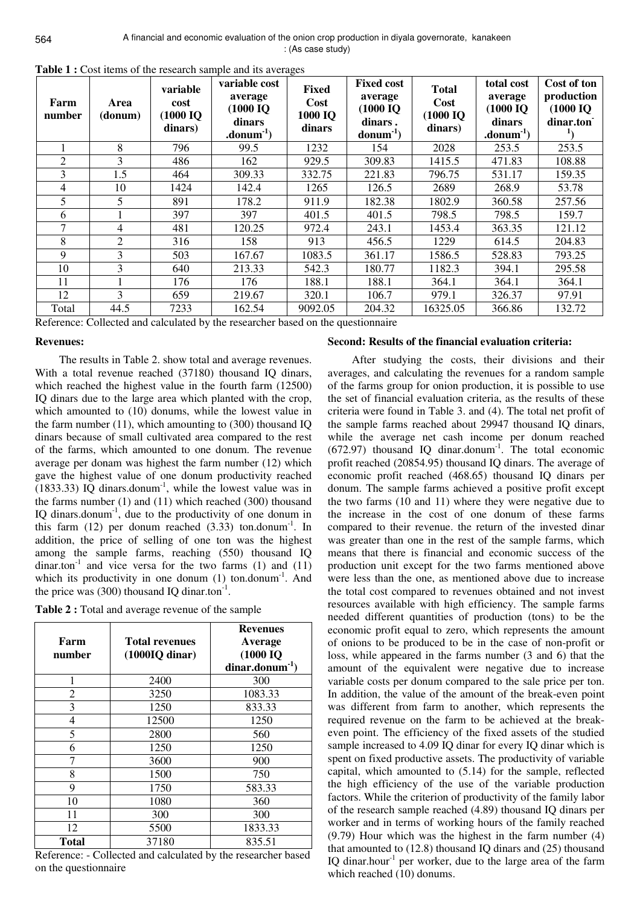| Farm<br>number | Area<br>(donum) | variable<br>cost<br>(1000 IQ<br>dinars) | variable cost<br>average<br>$(1000$ IQ<br>dinars<br>$\cdot$ donum $^{-1}$ ) | <b>Fixed</b><br>Cost<br>1000 IQ<br>dinars | <b>Fixed cost</b><br>average<br>(1000~IQ)<br>dinars.<br>$\text{domain}^{-1}$ | <b>Total</b><br>Cost<br>$(1000$ IQ<br>dinars) | total cost<br>average<br>$(1000$ IQ<br>dinars<br>$\cdot$ donum $^{-1}$ ) | Cost of ton<br>production<br>$(1000$ IQ<br>dinar.ton |
|----------------|-----------------|-----------------------------------------|-----------------------------------------------------------------------------|-------------------------------------------|------------------------------------------------------------------------------|-----------------------------------------------|--------------------------------------------------------------------------|------------------------------------------------------|
|                | 8               | 796                                     | 99.5                                                                        | 1232                                      | 154                                                                          | 2028                                          | 253.5                                                                    | 253.5                                                |
| 2              | 3               | 486                                     | 162                                                                         | 929.5                                     | 309.83                                                                       | 1415.5                                        | 471.83                                                                   | 108.88                                               |
| 3              | 1.5             | 464                                     | 309.33                                                                      | 332.75                                    | 221.83                                                                       | 796.75                                        | 531.17                                                                   | 159.35                                               |
| 4              | 10              | 1424                                    | 142.4                                                                       | 1265                                      | 126.5                                                                        | 2689                                          | 268.9                                                                    | 53.78                                                |
| 5              | 5               | 891                                     | 178.2                                                                       | 911.9                                     | 182.38                                                                       | 1802.9                                        | 360.58                                                                   | 257.56                                               |
| 6              |                 | 397                                     | 397                                                                         | 401.5                                     | 401.5                                                                        | 798.5                                         | 798.5                                                                    | 159.7                                                |
| 7              | 4               | 481                                     | 120.25                                                                      | 972.4                                     | 243.1                                                                        | 1453.4                                        | 363.35                                                                   | 121.12                                               |
| 8              | 2               | 316                                     | 158                                                                         | 913                                       | 456.5                                                                        | 1229                                          | 614.5                                                                    | 204.83                                               |
| 9              | 3               | 503                                     | 167.67                                                                      | 1083.5                                    | 361.17                                                                       | 1586.5                                        | 528.83                                                                   | 793.25                                               |
| 10             | 3               | 640                                     | 213.33                                                                      | 542.3                                     | 180.77                                                                       | 1182.3                                        | 394.1                                                                    | 295.58                                               |
| 11             |                 | 176                                     | 176                                                                         | 188.1                                     | 188.1                                                                        | 364.1                                         | 364.1                                                                    | 364.1                                                |
| 12             | 3               | 659                                     | 219.67                                                                      | 320.1                                     | 106.7                                                                        | 979.1                                         | 326.37                                                                   | 97.91                                                |
| Total          | 44.5            | 7233                                    | 162.54                                                                      | 9092.05                                   | 204.32                                                                       | 16325.05                                      | 366.86                                                                   | 132.72                                               |

**Table 1 :** Cost items of the research sample and its averages

Reference: Collected and calculated by the researcher based on the questionnaire

### **Revenues:**

The results in Table 2. show total and average revenues. With a total revenue reached (37180) thousand IQ dinars, which reached the highest value in the fourth farm (12500) IQ dinars due to the large area which planted with the crop, which amounted to (10) donums, while the lowest value in the farm number (11), which amounting to (300) thousand IQ dinars because of small cultivated area compared to the rest of the farms, which amounted to one donum. The revenue average per donam was highest the farm number (12) which gave the highest value of one donum productivity reached  $(1833.33)$  IQ dinars.donum<sup>-1</sup>, while the lowest value was in the farms number (1) and (11) which reached (300) thousand IQ dinars.donum-1, due to the productivity of one donum in this farm  $(12)$  per donum reached  $(3.33)$  ton.donum<sup>-1</sup>. In addition, the price of selling of one ton was the highest among the sample farms, reaching (550) thousand IQ dinar.ton<sup>-1</sup> and vice versa for the two farms (1) and (11) which its productivity in one donum  $(1)$  ton.donum<sup>-1</sup>. And the price was (300) thousand IQ dinar.ton<sup>-1</sup>.

**Table 2 :** Total and average revenue of the sample

| Farm<br>number | <b>Total revenues</b><br>$(1000IQ \text{ dinar})$ | <b>Revenues</b><br>Average<br>$(1000$ IQ<br>$dinar.donum^{-1}$ |  |  |
|----------------|---------------------------------------------------|----------------------------------------------------------------|--|--|
| 1              | 2400                                              | 300                                                            |  |  |
| 2              | 3250                                              | 1083.33                                                        |  |  |
| 3              | 1250                                              | 833.33                                                         |  |  |
| 4              | 12500                                             | 1250                                                           |  |  |
| 5              | 2800                                              | 560                                                            |  |  |
| 6              | 1250                                              | 1250                                                           |  |  |
| 7              | 3600                                              | 900                                                            |  |  |
| 8              | 1500                                              | 750                                                            |  |  |
| 9              | 1750                                              | 583.33                                                         |  |  |
| 10             | 1080                                              | 360                                                            |  |  |
| 11             | 300                                               | 300                                                            |  |  |
| 12             | 5500                                              | 1833.33                                                        |  |  |
| Total          | 37180                                             | 835.51                                                         |  |  |

Reference: - Collected and calculated by the researcher based on the questionnaire

## **Second: Results of the financial evaluation criteria:**

After studying the costs, their divisions and their averages, and calculating the revenues for a random sample of the farms group for onion production, it is possible to use the set of financial evaluation criteria, as the results of these criteria were found in Table 3. and (4). The total net profit of the sample farms reached about 29947 thousand IQ dinars, while the average net cash income per donum reached  $(672.97)$  thousand IQ dinar.donum<sup>-1</sup>. The total economic profit reached (20854.95) thousand IQ dinars. The average of economic profit reached (468.65) thousand IQ dinars per donum. The sample farms achieved a positive profit except the two farms (10 and 11) where they were negative due to the increase in the cost of one donum of these farms compared to their revenue. the return of the invested dinar was greater than one in the rest of the sample farms, which means that there is financial and economic success of the production unit except for the two farms mentioned above were less than the one, as mentioned above due to increase the total cost compared to revenues obtained and not invest resources available with high efficiency. The sample farms needed different quantities of production (tons) to be the economic profit equal to zero, which represents the amount of onions to be produced to be in the case of non-profit or loss, while appeared in the farms number (3 and 6) that the amount of the equivalent were negative due to increase variable costs per donum compared to the sale price per ton. In addition, the value of the amount of the break-even point was different from farm to another, which represents the required revenue on the farm to be achieved at the breakeven point. The efficiency of the fixed assets of the studied sample increased to 4.09 IQ dinar for every IQ dinar which is spent on fixed productive assets. The productivity of variable capital, which amounted to (5.14) for the sample, reflected the high efficiency of the use of the variable production factors. While the criterion of productivity of the family labor of the research sample reached (4.89) thousand IQ dinars per worker and in terms of working hours of the family reached (9.79) Hour which was the highest in the farm number (4) that amounted to (12.8) thousand IQ dinars and (25) thousand IQ dinar.hour<sup>-1</sup> per worker, due to the large area of the farm which reached (10) donums.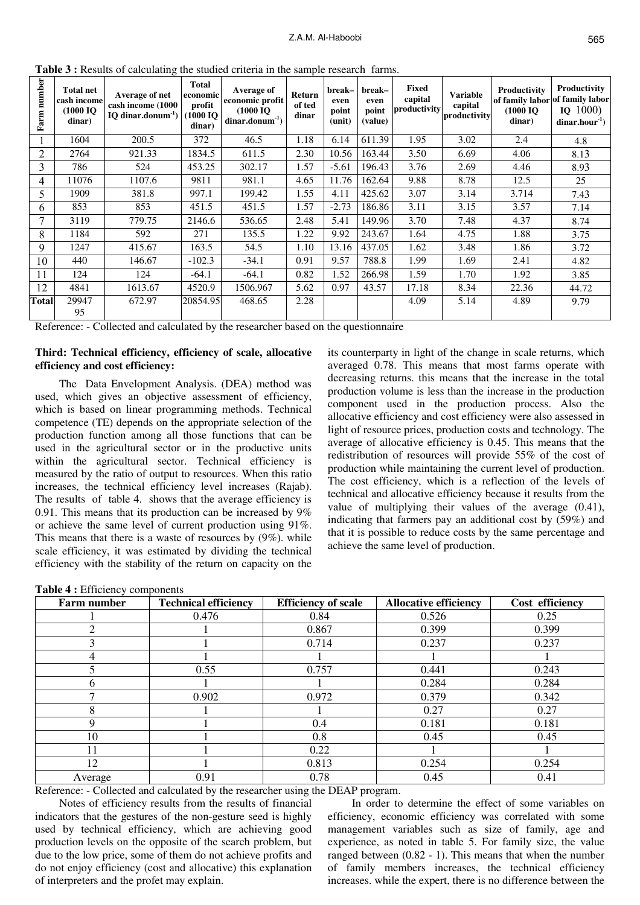| number<br>Farm | <b>Total net</b><br>cash income<br>(1000 IO<br>dinar) | Average of net<br>cash income (1000<br>$IO$ dinar.donum <sup>-1</sup> ) | <b>Total</b><br>economic<br>profit<br>(1000 IO)<br>dinar) | Average of<br>economic profit<br>(1000~I <sub>O</sub> )<br>$dinar.donum-1$ | Return<br>of ted<br>dinar | break-<br>even<br>point<br>(unit) | break-<br>even<br>point<br>(value) | Fixed<br>capital<br>productivity | <b>Variable</b><br>capital<br>productivity | Productivity<br>of family labor of family labor<br>(1000~I <sub>O</sub> )<br>dinar) | Productivity<br>$IQ$ 1000)<br>$dinar.hour-1$ |
|----------------|-------------------------------------------------------|-------------------------------------------------------------------------|-----------------------------------------------------------|----------------------------------------------------------------------------|---------------------------|-----------------------------------|------------------------------------|----------------------------------|--------------------------------------------|-------------------------------------------------------------------------------------|----------------------------------------------|
|                | 1604                                                  | 200.5                                                                   | 372                                                       | 46.5                                                                       | 1.18                      | 6.14                              | 611.39                             | 1.95                             | 3.02                                       | 2.4                                                                                 | 4.8                                          |
| $\overline{2}$ | 2764                                                  | 921.33                                                                  | 1834.5                                                    | 611.5                                                                      | 2.30                      | 10.56                             | 163.44                             | 3.50                             | 6.69                                       | 4.06                                                                                | 8.13                                         |
| 3              | 786                                                   | 524                                                                     | 453.25                                                    | 302.17                                                                     | 1.57                      | $-5.61$                           | 196.43                             | 3.76                             | 2.69                                       | 4.46                                                                                | 8.93                                         |
| 4              | 11076                                                 | 1107.6                                                                  | 9811                                                      | 981.1                                                                      | 4.65                      | 11.76                             | 162.64                             | 9.88                             | 8.78                                       | 12.5                                                                                | 25                                           |
| 5              | 1909                                                  | 381.8                                                                   | 997.1                                                     | 199.42                                                                     | 1.55                      | 4.11                              | 425.62                             | 3.07                             | 3.14                                       | 3.714                                                                               | 7.43                                         |
| 6              | 853                                                   | 853                                                                     | 451.5                                                     | 451.5                                                                      | 1.57                      | $-2.73$                           | 186.86                             | 3.11                             | 3.15                                       | 3.57                                                                                | 7.14                                         |
| 7              | 3119                                                  | 779.75                                                                  | 2146.6                                                    | 536.65                                                                     | 2.48                      | 5.41                              | 149.96                             | 3.70                             | 7.48                                       | 4.37                                                                                | 8.74                                         |
| 8              | 1184                                                  | 592                                                                     | 271                                                       | 135.5                                                                      | 1.22                      | 9.92                              | 243.67                             | 1.64                             | 4.75                                       | 1.88                                                                                | 3.75                                         |
| 9              | 1247                                                  | 415.67                                                                  | 163.5                                                     | 54.5                                                                       | 1.10                      | 13.16                             | 437.05                             | 1.62                             | 3.48                                       | 1.86                                                                                | 3.72                                         |
| 10             | 440                                                   | 146.67                                                                  | $-102.3$                                                  | $-34.1$                                                                    | 0.91                      | 9.57                              | 788.8                              | 1.99                             | 1.69                                       | 2.41                                                                                | 4.82                                         |
| 11             | 124                                                   | 124                                                                     | $-64.1$                                                   | $-64.1$                                                                    | 0.82                      | 1.52                              | 266.98                             | 1.59                             | 1.70                                       | 1.92                                                                                | 3.85                                         |
| 12             | 4841                                                  | 1613.67                                                                 | 4520.9                                                    | 1506.967                                                                   | 5.62                      | 0.97                              | 43.57                              | 17.18                            | 8.34                                       | 22.36                                                                               | 44.72                                        |
| <b>Total</b>   | 29947<br>95                                           | 672.97                                                                  | 20854.95                                                  | 468.65                                                                     | 2.28                      |                                   |                                    | 4.09                             | 5.14                                       | 4.89                                                                                | 9.79                                         |

**Table 3 :** Results of calculating the studied criteria in the sample research farms.

Reference: - Collected and calculated by the researcher based on the questionnaire

# **Third: Technical efficiency, efficiency of scale, allocative efficiency and cost efficiency:**

The Data Envelopment Analysis. (DEA) method was used, which gives an objective assessment of efficiency, which is based on linear programming methods. Technical competence (TE) depends on the appropriate selection of the production function among all those functions that can be used in the agricultural sector or in the productive units within the agricultural sector. Technical efficiency is measured by the ratio of output to resources. When this ratio increases, the technical efficiency level increases (Rajab). The results of table 4. shows that the average efficiency is 0.91. This means that its production can be increased by 9% or achieve the same level of current production using 91%. This means that there is a waste of resources by (9%). while scale efficiency, it was estimated by dividing the technical efficiency with the stability of the return on capacity on the

its counterparty in light of the change in scale returns, which averaged 0.78. This means that most farms operate with decreasing returns. this means that the increase in the total production volume is less than the increase in the production component used in the production process. Also the allocative efficiency and cost efficiency were also assessed in light of resource prices, production costs and technology. The average of allocative efficiency is 0.45. This means that the redistribution of resources will provide 55% of the cost of production while maintaining the current level of production. The cost efficiency, which is a reflection of the levels of technical and allocative efficiency because it results from the value of multiplying their values of the average (0.41), indicating that farmers pay an additional cost by (59%) and that it is possible to reduce costs by the same percentage and achieve the same level of production.

**Table 4 :** Efficiency components

| <b>Farm number</b> | <b>Technical efficiency</b> | <b>Efficiency of scale</b> | <b>Allocative efficiency</b> | Cost efficiency |
|--------------------|-----------------------------|----------------------------|------------------------------|-----------------|
|                    | 0.476                       | 0.84                       | 0.526                        | 0.25            |
|                    |                             | 0.867                      | 0.399                        | 0.399           |
| 3                  |                             | 0.714                      | 0.237                        | 0.237           |
| 4                  |                             |                            |                              |                 |
|                    | 0.55                        | 0.757                      | 0.441                        | 0.243           |
| h                  |                             |                            | 0.284                        | 0.284           |
| ⇁                  | 0.902                       | 0.972                      | 0.379                        | 0.342           |
| 8                  |                             |                            | 0.27                         | 0.27            |
| Q                  |                             | 0.4                        | 0.181                        | 0.181           |
| 10                 |                             | 0.8                        | 0.45                         | 0.45            |
| 11                 |                             | 0.22                       |                              |                 |
| 12                 |                             | 0.813                      | 0.254                        | 0.254           |
| Average            | 0.91                        | 0.78                       | 0.45                         | 0.41            |

Reference: - Collected and calculated by the researcher using the DEAP program.

Notes of efficiency results from the results of financial indicators that the gestures of the non-gesture seed is highly used by technical efficiency, which are achieving good production levels on the opposite of the search problem, but due to the low price, some of them do not achieve profits and do not enjoy efficiency (cost and allocative) this explanation of interpreters and the profet may explain.

In order to determine the effect of some variables on efficiency, economic efficiency was correlated with some management variables such as size of family, age and experience, as noted in table 5. For family size, the value ranged between (0.82 - 1). This means that when the number of family members increases, the technical efficiency increases. while the expert, there is no difference between the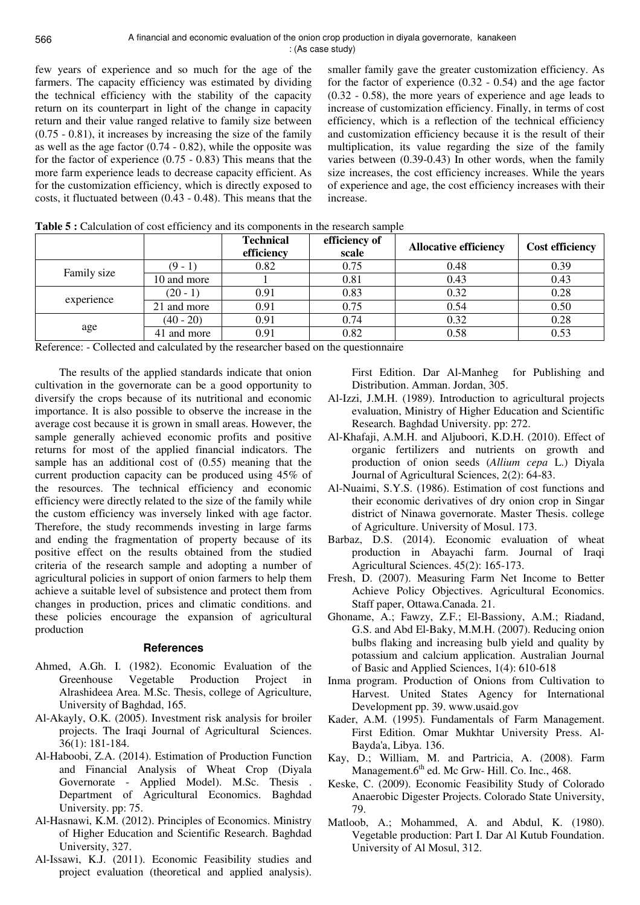few years of experience and so much for the age of the farmers. The capacity efficiency was estimated by dividing the technical efficiency with the stability of the capacity return on its counterpart in light of the change in capacity return and their value ranged relative to family size between (0.75 - 0.81), it increases by increasing the size of the family as well as the age factor (0.74 - 0.82), while the opposite was for the factor of experience (0.75 - 0.83) This means that the more farm experience leads to decrease capacity efficient. As for the customization efficiency, which is directly exposed to costs, it fluctuated between (0.43 - 0.48). This means that the

smaller family gave the greater customization efficiency. As for the factor of experience (0.32 - 0.54) and the age factor (0.32 - 0.58), the more years of experience and age leads to increase of customization efficiency. Finally, in terms of cost efficiency, which is a reflection of the technical efficiency and customization efficiency because it is the result of their multiplication, its value regarding the size of the family varies between (0.39-0.43) In other words, when the family size increases, the cost efficiency increases. While the years of experience and age, the cost efficiency increases with their increase.

|             |             | <b>Technical</b><br>efficiency | efficiency of<br>scale | <b>Allocative efficiency</b> | <b>Cost efficiency</b> |
|-------------|-------------|--------------------------------|------------------------|------------------------------|------------------------|
| Family size | $(9 - 1)$   | 0.82                           | 0.75                   | 0.48                         | 0.39                   |
|             | 10 and more |                                | 0.81                   | 0.43                         | 0.43                   |
| experience  | $(20 - 1)$  | 0.91                           | 0.83                   | 0.32                         | 0.28                   |
|             | 21 and more | 0.91                           | 0.75                   | 0.54                         | 0.50                   |
|             | $(40 - 20)$ | 0.91                           | 0.74                   | 0.32                         | 0.28                   |
| age         | 41 and more | 0.91                           | 0.82                   | 0.58                         | 0.53                   |

Reference: - Collected and calculated by the researcher based on the questionnaire

The results of the applied standards indicate that onion cultivation in the governorate can be a good opportunity to diversify the crops because of its nutritional and economic importance. It is also possible to observe the increase in the average cost because it is grown in small areas. However, the sample generally achieved economic profits and positive returns for most of the applied financial indicators. The sample has an additional cost of (0.55) meaning that the current production capacity can be produced using 45% of the resources. The technical efficiency and economic efficiency were directly related to the size of the family while the custom efficiency was inversely linked with age factor. Therefore, the study recommends investing in large farms and ending the fragmentation of property because of its positive effect on the results obtained from the studied criteria of the research sample and adopting a number of agricultural policies in support of onion farmers to help them achieve a suitable level of subsistence and protect them from changes in production, prices and climatic conditions. and these policies encourage the expansion of agricultural production

### **References**

- Ahmed, A.Gh. I. (1982). Economic Evaluation of the Greenhouse Vegetable Production Project in Alrashideea Area. M.Sc. Thesis, college of Agriculture, University of Baghdad, 165.
- Al-Akayly, O.K. (2005). Investment risk analysis for broiler projects. The Iraqi Journal of Agricultural Sciences. 36(1): 181-184.
- Al-Haboobi, Z.A. (2014). Estimation of Production Function and Financial Analysis of Wheat Crop (Diyala Governorate - Applied Model). M.Sc. Thesis . Department of Agricultural Economics. Baghdad University. pp: 75.
- Al-Hasnawi, K.M. (2012). Principles of Economics. Ministry of Higher Education and Scientific Research. Baghdad University, 327.
- Al-Issawi, K.J. (2011). Economic Feasibility studies and project evaluation (theoretical and applied analysis).

First Edition. Dar Al-Manheg for Publishing and Distribution. Amman. Jordan, 305.

- Al-Izzi, J.M.H. (1989). Introduction to agricultural projects evaluation, Ministry of Higher Education and Scientific Research. Baghdad University. pp: 272.
- Al-Khafaji, A.M.H. and Aljuboori, K.D.H. (2010). Effect of organic fertilizers and nutrients on growth and production of onion seeds (*Allium cepa* L.) Diyala Journal of Agricultural Sciences, 2(2): 64-83.
- Al-Nuaimi, S.Y.S. (1986). Estimation of cost functions and their economic derivatives of dry onion crop in Singar district of Ninawa governorate. Master Thesis. college of Agriculture. University of Mosul. 173.
- Barbaz, D.S. (2014). Economic evaluation of wheat production in Abayachi farm. Journal of Iraqi Agricultural Sciences. 45(2): 165-173.
- Fresh, D. (2007). Measuring Farm Net Income to Better Achieve Policy Objectives. Agricultural Economics. Staff paper, Ottawa.Canada. 21.
- Ghoname, A.; Fawzy, Z.F.; El-Bassiony, A.M.; Riadand, G.S. and Abd El-Baky, M.M.H. (2007). Reducing onion bulbs flaking and increasing bulb yield and quality by potassium and calcium application. Australian Journal of Basic and Applied Sciences, 1(4): 610-618
- Inma program. Production of Onions from Cultivation to Harvest. United States Agency for International Development pp. 39. www.usaid.gov
- Kader, A.M. (1995). Fundamentals of Farm Management. First Edition. Omar Mukhtar University Press. Al-Bayda'a, Libya. 136.
- Kay, D.; William, M. and Partricia, A. (2008). Farm Management.6<sup>th</sup> ed. Mc Grw- Hill. Co. Inc., 468.
- Keske, C. (2009). Economic Feasibility Study of Colorado Anaerobic Digester Projects. Colorado State University, 79.
- Matloob, A.; Mohammed, A. and Abdul, K. (1980). Vegetable production: Part I. Dar Al Kutub Foundation. University of Al Mosul, 312.